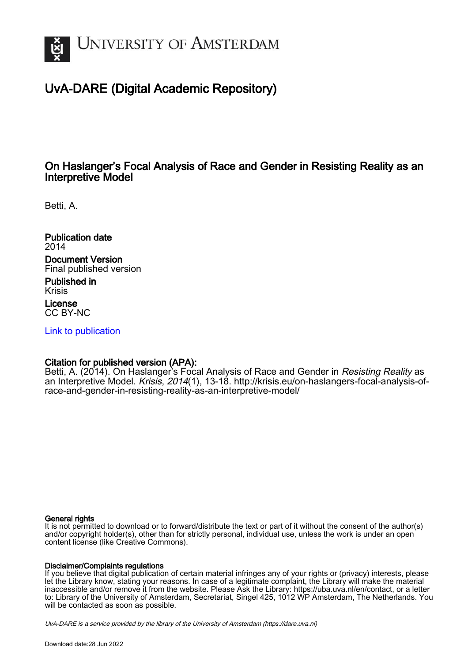

### UvA-DARE (Digital Academic Repository)

### On Haslanger's Focal Analysis of Race and Gender in Resisting Reality as an Interpretive Model

Betti, A.

Publication date 2014 Document Version Final published version

Published in Krisis License CC BY-NC

[Link to publication](https://dare.uva.nl/personal/pure/en/publications/on-haslangers-focal-analysis-of-race-and-gender-in-resisting-reality-as-an-interpretive-model(a9aa002d-5f18-490b-988a-78a4d8947236).html)

#### Citation for published version (APA):

Betti, A. (2014). On Haslanger's Focal Analysis of Race and Gender in Resisting Reality as an Interpretive Model. Krisis, 2014(1), 13-18. [http://krisis.eu/on-haslangers-focal-analysis-of](http://krisis.eu/on-haslangers-focal-analysis-of-race-and-gender-in-resisting-reality-as-an-interpretive-model/)[race-and-gender-in-resisting-reality-as-an-interpretive-model/](http://krisis.eu/on-haslangers-focal-analysis-of-race-and-gender-in-resisting-reality-as-an-interpretive-model/)

#### General rights

It is not permitted to download or to forward/distribute the text or part of it without the consent of the author(s) and/or copyright holder(s), other than for strictly personal, individual use, unless the work is under an open content license (like Creative Commons).

### Disclaimer/Complaints regulations

If you believe that digital publication of certain material infringes any of your rights or (privacy) interests, please let the Library know, stating your reasons. In case of a legitimate complaint, the Library will make the material inaccessible and/or remove it from the website. Please Ask the Library: https://uba.uva.nl/en/contact, or a letter to: Library of the University of Amsterdam, Secretariat, Singel 425, 1012 WP Amsterdam, The Netherlands. You will be contacted as soon as possible.

UvA-DARE is a service provided by the library of the University of Amsterdam (http*s*://dare.uva.nl)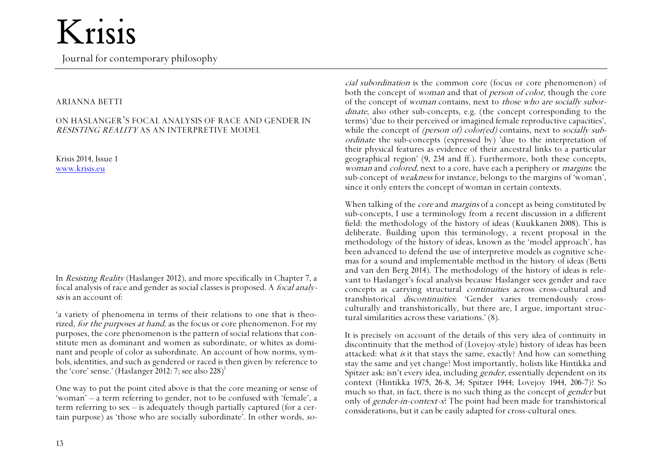Journal for contemporary philosophy

#### ARIANNA BETTI

#### ON HASLANGER'S FOCAL ANALYSIS OF RACE AND GENDER IN RESISTING REALITY AS AN INTERPRETIVE MODEL

Krisis 2014, Issue 1 [www.krisis.eu](http://www.krisis.eu/)

In Resisting Reality (Haslanger 2012), and more specifically in Chapter 7, a focal analysis of race and gender as social classes is proposed. A focal analysis is an account of:

'a variety of phenomena in terms of their relations to one that is theorized, for the purposes at hand, as the focus or core phenomenon. For my purposes, the core phenomenon is the pattern of social relations that constitute men as dominant and women as subordinate, or whites as dominant and people of color as subordinate. An account of how norms, symbols, identities, and such as gendered or raced is then given by reference to the 'core' sense.' (Haslanger 2012: 7; see also 228) 1

One way to put the point cited above is that the core meaning or sense of 'woman' – a term referring to gender, not to be confused with 'female', a term referring to sex – is adequately though partially captured (for a certain purpose) as 'those who are socially subordinate'. In other words, so-

cial subordination is the common core (focus or core phenomenon) of both the concept of woman and that of person of color, though the core of the concept of woman contains, next to those who are socially subordinate, also other sub-concepts, e.g. (the concept corresponding to the terms) 'due to their perceived or imagined female reproductive capacities', while the concept of *(person of)* color(ed) contains, next to *socially sub*ordinate the sub-concepts (expressed by) 'due to the interpretation of their physical features as evidence of their ancestral links to a particular geographical region' (9, 234 and ff.). Furthermore, both these concepts, woman and *colored*, next to a core, have each a periphery or *margins*: the sub-concept of weakness for instance, belongs to the margins of 'woman', since it only enters the concept of woman in certain contexts.

When talking of the *core* and *margins* of a concept as being constituted by sub-concepts, I use a terminology from a recent discussion in a different field: the methodology of the history of ideas (Kuukkanen 2008). This is deliberate. Building upon this terminology, a recent proposal in the methodology of the history of ideas, known as the 'model approach', has been advanced to defend the use of interpretive models as cognitive schemas for a sound and implementable method in the history of ideas (Betti and van den Berg 2014). The methodology of the history of ideas is relevant to Haslanger's focal analysis because Haslanger sees gender and race concepts as carrying structural continuities across cross-cultural and transhistorical discontinuities: 'Gender varies tremendously crossculturally and transhistorically, but there are, I argue, important structural similarities across these variations.' (8).

It is precisely on account of the details of this very idea of continuity in discontinuity that the method of (Lovejoy-style) history of ideas has been attacked: what is it that stays the same, exactly? And how can something stay the same and yet change? Most importantly, holists like Hintikka and Spitzer ask: isn't every idea, including gender, essentially dependent on its context (Hintikka 1975, 26-8, 34; Spitzer 1944; Lovejoy 1944, 206-7)? So much so that, in fact, there is no such thing as the concept of gender but only of gender-in-context-x? The point had been made for transhistorical considerations, but it can be easily adapted for cross-cultural ones.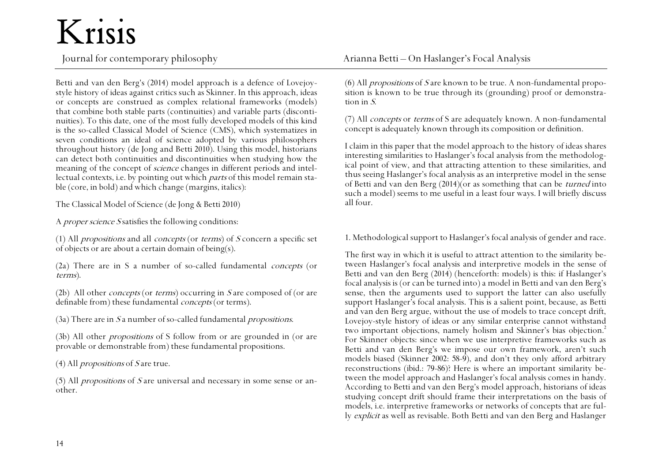Betti and van den Berg's (2014) model approach is a defence of Lovejoystyle history of ideas against critics such as Skinner. In this approach, ideas or concepts are construed as complex relational frameworks (models) that combine both stable parts (continuities) and variable parts (discontinuities). To this date, one of the most fully developed models of this kind is the so-called Classical Model of Science (CMS), which systematizes in seven conditions an ideal of science adopted by various philosophers throughout history (de Jong and Betti 2010). Using this model, historians can detect both continuities and discontinuities when studying how the meaning of the concept of *science* changes in different periods and intellectual contexts, i.e. by pointing out which parts of this model remain stable (core, in bold) and which change (margins, italics):

The Classical Model of Science (de Jong & Betti 2010)

A *proper science S* satisfies the following conditions:

(1) All *propositions* and all *concepts* (or *terms*) of  $S$  concern a specific set of objects or are about a certain domain of being(s).

(2a) There are in S a number of so-called fundamental concepts (or terms).

(2b) All other *concepts* (or *terms*) occurring in S are composed of (or are definable from) these fundamental *concepts* (or terms).

 $(3a)$  There are in S a number of so-called fundamental *propositions*.

(3b) All other *propositions* of S follow from or are grounded in (or are provable or demonstrable from) these fundamental propositions.

(4) All *propositions* of  $S$  are true.

(5) All *propositions* of S are universal and necessary in some sense or another.

(6) All propositions of <sup>S</sup> are known to be true. A non-fundamental proposition is known to be true through its (grounding) proof or demonstration in S.

(7) All concepts or terms of S are adequately known. A non-fundamental concept is adequately known through its composition or definition.

I claim in this paper that the model approach to the history of ideas shares interesting similarities to Haslanger's focal analysis from the methodological point of view, and that attracting attention to these similarities, and thus seeing Haslanger's focal analysis as an interpretive model in the sense of Betti and van den Berg (2014)(or as something that can be turned into such a model) seems to me useful in a least four ways. I will briefly discuss all four.

1. Methodological support to Haslanger's focal analysis of gender and race.

The first way in which it is useful to attract attention to the similarity between Haslanger's focal analysis and interpretive models in the sense of Betti and van den Berg (2014) (henceforth: models) is this: if Haslanger's focal analysis is (or can be turned into)a model in Betti and van den Berg's sense, then the arguments used to support the latter can also usefully support Haslanger's focal analysis. This is a salient point, because, as Betti and van den Berg argue, without the use of models to trace concept drift, Lovejoy-style history of ideas or any similar enterprise cannot withstand two important objections, namely holism and Skinner's bias objection.<sup>2</sup> For Skinner objects: since when we use interpretive frameworks such as Betti and van den Berg's we impose our own framework, aren't such models biased (Skinner 2002: 58-9), and don't they only afford arbitrary reconstructions (ibid.: 79-86)? Here is where an important similarity between the model approach and Haslanger's focal analysis comes in handy. According to Betti and van den Berg's model approach, historians of ideas studying concept drift should frame their interpretations on the basis of models, i.e. interpretive frameworks or networks of concepts that are fully explicit as well as revisable. Both Betti and van den Berg and Haslanger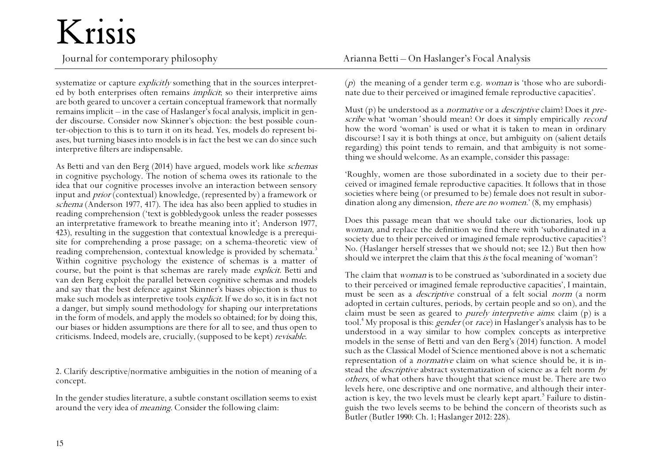systematize or capture *explicitly* something that in the sources interpreted by both enterprises often remains *implicit*; so their interpretive aims are both geared to uncover a certain conceptual framework that normally remains implicit – in the case of Haslanger's focal analysis, implicit in gender discourse. Consider now Skinner's objection: the best possible counter-objection to this is to turn it on its head. Yes, models do represent biases, but turning biases into models is in fact the best we can do since such interpretive filters are indispensable.

As Betti and van den Berg (2014) have argued, models work like schemas in cognitive psychology. The notion of schema owes its rationale to the idea that our cognitive processes involve an interaction between sensory input and prior (contextual) knowledge, (represented by) a framework or schema (Anderson 1977, 417). The idea has also been applied to studies in reading comprehension ('text is gobbledygook unless the reader possesses an interpretative framework to breathe meaning into it'; Anderson 1977, 423), resulting in the suggestion that contextual knowledge is a prerequisite for comprehending a prose passage; on a schema-theoretic view of reading comprehension, contextual knowledge is provided by schemata.<sup>3</sup> Within cognitive psychology the existence of schemas is a matter of course, but the point is that schemas are rarely made explicit. Betti and van den Berg exploit the parallel between cognitive schemas and models and say that the best defence against Skinner's biases objection is thus to make such models as interpretive tools explicit. If we do so, it is in fact not a danger, but simply sound methodology for shaping our interpretations in the form of models, and apply the models so obtained; for by doing this, our biases or hidden assumptions are there for all to see, and thus open to criticisms. Indeed, models are, crucially, (supposed to be kept) revisable.

2. Clarify descriptive/normative ambiguities in the notion of meaning of a concept.

In the gender studies literature, a subtle constant oscillation seems to exist around the very idea of *meaning*. Consider the following claim:

(p) the meaning of a gender term e.g. *woman* is 'those who are subordinate due to their perceived or imagined female reproductive capacities'.

Must  $(p)$  be understood as a *normative* or a *descriptive* claim? Does it *pre*scribe what 'woman' should mean? Or does it simply empirically record how the word 'woman' is used or what it is taken to mean in ordinary discourse? I say it is both things at once, but ambiguity on (salient details regarding) this point tends to remain, and that ambiguity is not something we should welcome. As an example, consider this passage:

'Roughly, women are those subordinated in a society due to their perceived or imagined female reproductive capacities. It follows that in those societies where being (or presumed to be) female does not result in subordination along any dimension, *there are no women.*' (8, my emphasis)

Does this passage mean that we should take our dictionaries, look up woman, and replace the definition we find there with 'subordinated in a society due to their perceived or imagined female reproductive capacities'? No. (Haslanger herself stresses that we should not; see 12.) But then how should we interpret the claim that this is the focal meaning of 'woman'?

The claim that *woman* is to be construed as 'subordinated in a society due to their perceived or imagined female reproductive capacities', I maintain, must be seen as a *descriptive* construal of a felt social *norm* (a norm adopted in certain cultures, periods, by certain people and so on), and the claim must be seen as geared to purely interpretive aims: claim (p) is a tool.<sup>4</sup> My proposal is this: *gender* (or *race*) in Haslanger's analysis has to be understood in a way similar to how complex concepts as interpretive models in the sense of Betti and van den Berg's (2014) function. A model such as the Classical Model of Science mentioned above is not a schematic representation of a *normative* claim on what science should be, it is instead the *descriptive* abstract systematization of science as a felt norm by others, of what others have thought that science must be. There are two levels here, one descriptive and one normative, and although their interaction is key, the two levels must be clearly kept apart. $^{\mathrm{5}}$  Failure to distinguish the two levels seems to be behind the concern of theorists such as Butler (Butler 1990: Ch. 1; Haslanger 2012: 228).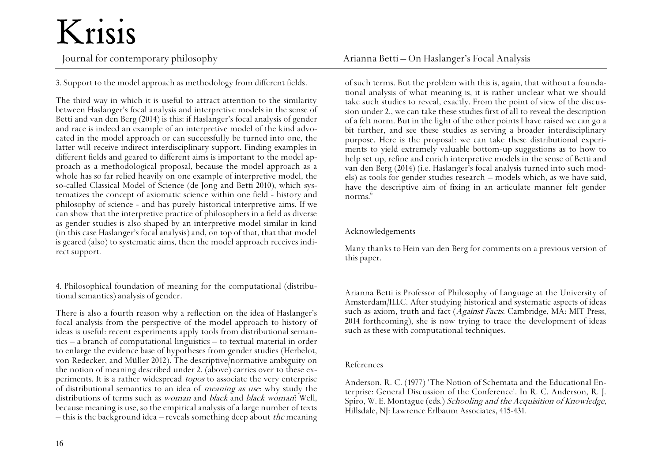3. Support to the model approach as methodology from different fields.

The third way in which it is useful to attract attention to the similarity between Haslanger's focal analysis and interpretive models in the sense of Betti and van den Berg (2014) is this: if Haslanger's focal analysis of gender and race is indeed an example of an interpretive model of the kind advocated in the model approach or can successfully be turned into one, the latter will receive indirect interdisciplinary support. Finding examples in different fields and geared to different aims is important to the model approach as a methodological proposal, because the model approach as a whole has so far relied heavily on one example of interpretive model, the so-called Classical Model of Science (de Jong and Betti 2010), which systematizes the concept of axiomatic science within one field - history and philosophy of science - and has purely historical interpretive aims. If we can show that the interpretive practice of philosophers in a field as diverse as gender studies is also shaped by an interpretive model similar in kind (in this case Haslanger's focal analysis) and, on top of that, that that model is geared (also) to systematic aims, then the model approach receives indirect support.

4. Philosophical foundation of meaning for the computational (distributional semantics) analysis of gender.

There is also a fourth reason why a reflection on the idea of Haslanger's focal analysis from the perspective of the model approach to history of ideas is useful: recent experiments apply tools from distributional semantics – a branch of computational linguistics – to textual material in order to enlarge the evidence base of hypotheses from gender studies (Herbelot, von Redecker, and Müller 2012). The descriptive/normative ambiguity on the notion of meaning described under 2. (above) carries over to these experiments. It is a rather widespread topos to associate the very enterprise of distributional semantics to an idea of meaning as use: why study the distributions of terms such as woman and black and black woman? Well, because meaning is use, so the empirical analysis of a large number of texts – this is the background idea – reveals something deep about *the* meaning

Journal for contemporary philosophy and the Arianna Betti – On Haslanger's Focal Analysis

of such terms. But the problem with this is, again, that without a foundational analysis of what meaning is, it is rather unclear what we should take such studies to reveal, exactly. From the point of view of the discussion under 2., we can take these studies first of all to reveal the description of a felt norm. But in the light of the other points I have raised we can go a bit further, and see these studies as serving a broader interdisciplinary purpose. Here is the proposal: we can take these distributional experiments to yield extremely valuable bottom-up suggestions as to how to help set up, refine and enrich interpretive models in the sense of Betti and van den Berg (2014) (i.e. Haslanger's focal analysis turned into such models) as tools for gender studies research – models which, as we have said, have the descriptive aim of fixing in an articulate manner felt gender norms. 6

#### Acknowledgements

Many thanks to Hein van den Berg for comments on a previous version of this paper.

Arianna Betti is Professor of Philosophy of Language at the University of Amsterdam/ILLC. After studying historical and systematic aspects of ideas such as axiom, truth and fact (Against Facts. Cambridge, MA: MIT Press, 2014 forthcoming), she is now trying to trace the development of ideas such as these with computational techniques.

#### References

Anderson, R. C. (1977) 'The Notion of Schemata and the Educational Enterprise: General Discussion of the Conference'. In R. C. Anderson, R. J. Spiro, W. E. Montague (eds.) Schooling and the Acquisition of Knowledge, Hillsdale, NJ: Lawrence Erlbaum Associates,415-431.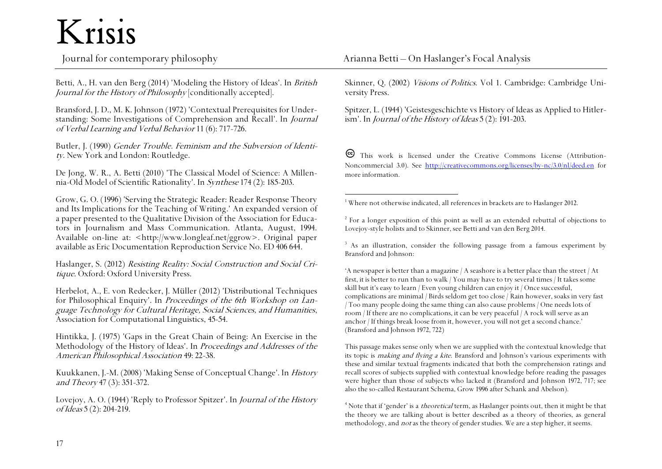Betti, A., H. van den Berg (2014) 'Modeling the History of Ideas'. In British Journal for the History of Philosophy [conditionally accepted].

Bransford, J. D., M. K. Johnson (1972) 'Contextual Prerequisites for Understanding: Some Investigations of Comprehension and Recall'. In Journal of Verbal Learning and Verbal Behavior 11 (6): 717-726.

Butler, J. (1990) Gender Trouble. Feminism and the Subversion of Identity. New York and London: Routledge.

De Jong, W. R., A. Betti (2010) 'The Classical Model of Science: A Millennia-Old Model of Scientific Rationality'. In Synthese174 (2): 185-203.

Grow, G. O. (1996) 'Serving the Strategic Reader: Reader Response Theory and Its Implications for the Teaching of Writing.' An expanded version of a paper presented to the Qualitative Division of the Association for Educators in Journalism and Mass Communication. Atlanta, August, 1994. Available on-line at: <http://www.longleaf.net/ggrow>. Original paper available as Eric Documentation Reproduction Service No. ED 406 644.

Haslanger, S. (2012) Resisting Reality: Social Construction and Social Critique. Oxford: Oxford University Press.

Herbelot, A., E. von Redecker, J. Müller (2012) 'Distributional Techniques for Philosophical Enquiry'. In *Proceedings of the 6th Workshop on Lan*guage Technology for Cultural Heritage, Social Sciences, and Humanities, Association for Computational Linguistics, 45-54.

Hintikka, J. (1975) 'Gaps in the Great Chain of Being: An Exercise in the Methodology of the History of Ideas'. In Proceedings and Addresses of the American Philosophical Association 49: 22-38.

Kuukkanen, J.-M. (2008) 'Making Sense of Conceptual Change'. In History and Theory 47 (3): 351-372.

Lovejoy, A. O. (1944) 'Reply to Professor Spitzer'. In Journal of the History of Ideas5 (2): 204-219.

Skinner, Q. (2002) Visions of Politics. Vol 1. Cambridge: Cambridge University Press.

Spitzer, L. (1944) 'Geistesgeschichte vs History of Ideas as Applied to Hitlerism'. In *Journal of the History of Ideas*  $5(2)$ : 191-203.

This work is licensed under the Creative Commons License (Attribution-Noncommercial 3.0). See <http://creativecommons.org/licenses/by-nc/3.0/nl/deed.en> for more information.

 <sup>1</sup> Where not otherwise indicated, all references in brackets are to Haslanger 2012.

 $2^{2}$  For a longer exposition of this point as well as an extended rebuttal of objections to Lovejoy-style holists and to Skinner, see Betti and van den Berg 2014.

<sup>3</sup> As an illustration, consider the following passage from a famous experiment by Bransford and Johnson:

'A newspaper is better than a magazine / A seashore is a better place than the street / At first, it is better to run than to walk / You may have to try several times / It takes some skill but it's easy to learn / Even young children can enjoy it / Once successful, complications are minimal / Birds seldom get too close / Rain however, soaks in very fast / Too many people doing the same thing can also cause problems / One needs lots of room / If there are no complications, it can be very peaceful / A rock will serve as an anchor / If things break loose from it, however, you will not get a second chance.' (Bransford and Johnson 1972, 722)

This passage makes sense only when we are supplied with the contextual knowledge that its topic is *making and flying a kite*. Bransford and Johnson's various experiments with these and similar textual fragments indicated that both the comprehension ratings and recall scores of subjects supplied with contextual knowledge before reading the passages were higher than those of subjects who lacked it (Bransford and Johnson 1972, 717; see also the so-called Restaurant Schema, Grow 1996 after Schank and Abelson).

<sup>4</sup> Note that if 'gender' is a *theoretical* term, as Haslanger points out, then it might be that the theory we are talking about is better described as a theory of theories, as general methodology, and not as the theory of gender studies. We are a step higher, it seems.